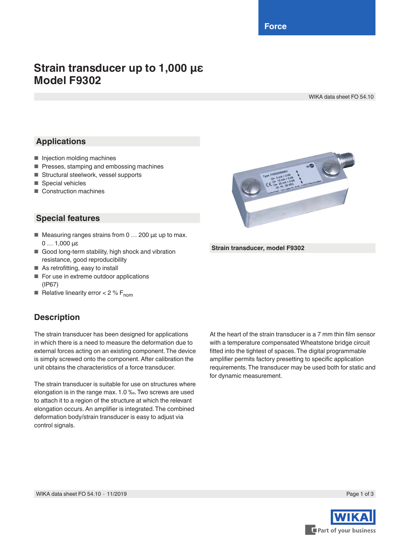**Force**

# **Strain transducer up to 1,000 µε Model F9302**

WIKA data sheet FO 54.10

## **Applications**

- Injection molding machines
- Presses, stamping and embossing machines
- Structural steelwork, vessel supports
- Special vehicles
- Construction machines

### **Special features**

- Measuring ranges strains from 0 ... 200 με up to max. 0 … 1,000 µε
- Good long-term stability, high shock and vibration resistance, good reproducibility
- As retrofitting, easy to install
- For use in extreme outdoor applications (IP67)
- **EXECUTE:** Relative linearity error  $< 2 \% F_{\text{nom}}$

### **Description**

The strain transducer has been designed for applications in which there is a need to measure the deformation due to external forces acting on an existing component. The device is simply screwed onto the component. After calibration the unit obtains the characteristics of a force transducer.

The strain transducer is suitable for use on structures where elongation is in the range max. 1.0 ‰. Two screws are used to attach it to a region of the structure at which the relevant elongation occurs. An amplifier is integrated. The combined deformation body/strain transducer is easy to adjust via control signals.

At the heart of the strain transducer is a 7 mm thin film sensor with a temperature compensated Wheatstone bridge circuit fitted into the tightest of spaces. The digital programmable amplifier permits factory presetting to specific application requirements. The transducer may be used both for static and for dynamic measurement.



**Strain transducer, model F9302**

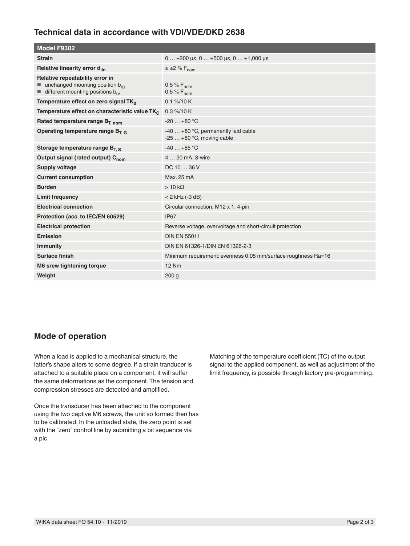#### **Technical data in accordance with VDI/VDE/DKD 2638**

| Model F9302                                                                                                                       |                                                                  |  |
|-----------------------------------------------------------------------------------------------------------------------------------|------------------------------------------------------------------|--|
| <b>Strain</b>                                                                                                                     | $0$ ±200 µe, $0$ ±500 µe, $0$ ±1,000 µe                          |  |
| Relative linearity error d <sub>lin</sub>                                                                                         | $\leq \pm 2 \% F_{\text{nom}}$                                   |  |
| Relative repeatability error in<br>unchanged mounting position brg<br>$\blacksquare$ different mounting positions b <sub>rv</sub> | 0.5 % $F_{\text{nom}}$<br>0.5 % $F_{nom}$                        |  |
| Temperature effect on zero signal TK <sub>0</sub>                                                                                 | $0.1\% / 10K$                                                    |  |
| Temperature effect on characteristic value TK                                                                                     | $0.3\%$ /10 K                                                    |  |
| Rated temperature range $B_{T, nom}$                                                                                              | $-20+80$ °C                                                      |  |
| Operating temperature range $B_{T,G}$                                                                                             | $-40+80$ °C, permanently laid cable<br>$-25+80$ °C, moving cable |  |
| Storage temperature range $B_T$ s                                                                                                 | $-40+85$ °C                                                      |  |
| Output signal (rated output) C <sub>nom</sub>                                                                                     | 4  20 mA, 3-wire                                                 |  |
| <b>Supply voltage</b>                                                                                                             | DC 10  36 V                                                      |  |
| <b>Current consumption</b>                                                                                                        | Max. 25 mA                                                       |  |
| <b>Burden</b>                                                                                                                     | $>10 k\Omega$                                                    |  |
| Limit frequency                                                                                                                   | $< 2$ kHz (-3 dB)                                                |  |
| <b>Electrical connection</b>                                                                                                      | Circular connection, M12 x 1, 4-pin                              |  |
| Protection (acc. to IEC/EN 60529)                                                                                                 | <b>IP67</b>                                                      |  |
| <b>Electrical protection</b>                                                                                                      | Reverse voltage, overvoltage and short-circuit protection        |  |
| Emission                                                                                                                          | <b>DIN EN 55011</b>                                              |  |
| <b>Immunity</b>                                                                                                                   | DIN EN 61326-1/DIN EN 61326-2-3                                  |  |
| Surface finish                                                                                                                    | Minimum requirement: evenness 0.05 mm/surface roughness Ra=16    |  |
| M6 srew tightening torque                                                                                                         | <b>12 Nm</b>                                                     |  |
| Weight                                                                                                                            | 200 <sub>g</sub>                                                 |  |

#### **Mode of operation**

When a load is applied to a mechanical structure, the latter's shape alters to some degree. If a strain tranducer is attached to a suitable place on a component, it will suffer the same deformations as the component. The tension and compression stresses are detected and amplified.

Once the transducer has been attached to the component using the two captive M6 screws, the unit so formed then has to be calibrated. In the unloaded state, the zero point is set with the "zero" control line by submitting a bit sequence via a plc.

Matching of the temperature coefficient (TC) of the output signal to the applied component, as well as adjustment of the limit frequency, is possible through factory pre-programming.